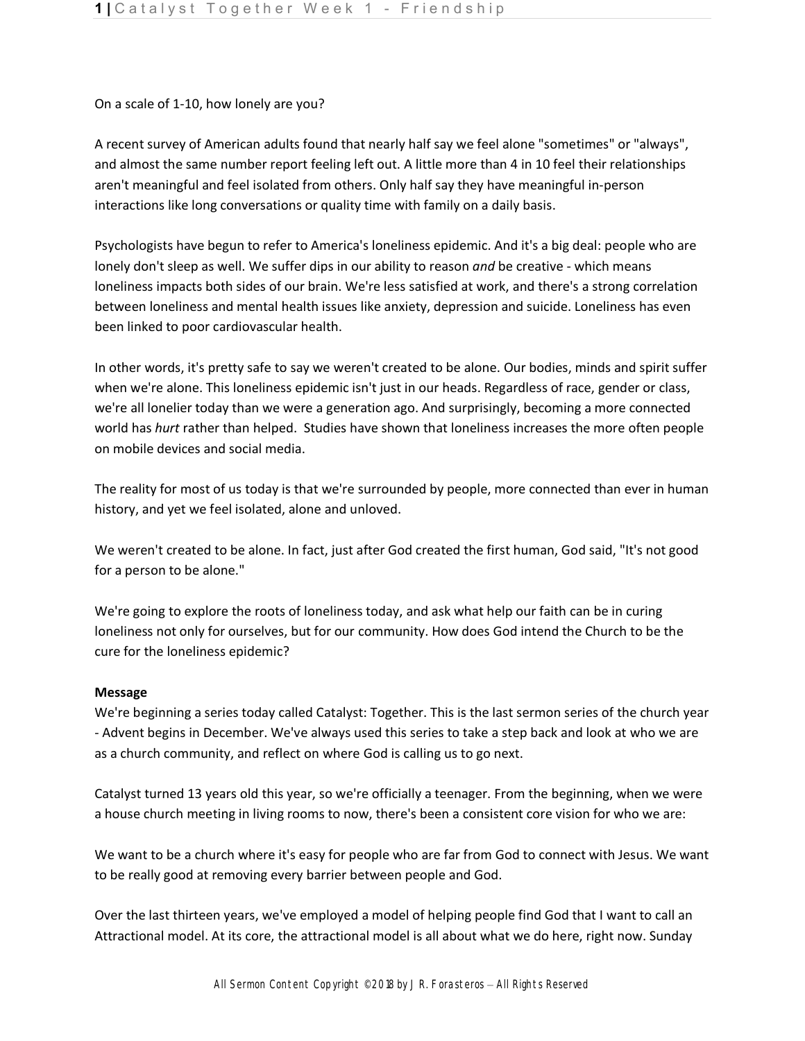On a scale of 1-10, how lonely are you?

A recent survey of American adults found that nearly half say we feel alone "sometimes" or "always", and almost the same number report feeling left out. A little more than 4 in 10 feel their relationships aren't meaningful and feel isolated from others. Only half say they have meaningful in-person interactions like long conversations or quality time with family on a daily basis.

Psychologists have begun to refer to America's loneliness epidemic. And it's a big deal: people who are lonely don't sleep as well. We suffer dips in our ability to reason *and* be creative - which means loneliness impacts both sides of our brain. We're less satisfied at work, and there's a strong correlation between loneliness and mental health issues like anxiety, depression and suicide. Loneliness has even been linked to poor cardiovascular health.

In other words, it's pretty safe to say we weren't created to be alone. Our bodies, minds and spirit suffer when we're alone. This loneliness epidemic isn't just in our heads. Regardless of race, gender or class, we're all lonelier today than we were a generation ago. And surprisingly, becoming a more connected world has *hurt* rather than helped. Studies have shown that loneliness increases the more often people on mobile devices and social media.

The reality for most of us today is that we're surrounded by people, more connected than ever in human history, and yet we feel isolated, alone and unloved.

We weren't created to be alone. In fact, just after God created the first human, God said, "It's not good for a person to be alone."

We're going to explore the roots of loneliness today, and ask what help our faith can be in curing loneliness not only for ourselves, but for our community. How does God intend the Church to be the cure for the loneliness epidemic?

## **Message**

We're beginning a series today called Catalyst: Together. This is the last sermon series of the church year - Advent begins in December. We've always used this series to take a step back and look at who we are as a church community, and reflect on where God is calling us to go next.

Catalyst turned 13 years old this year, so we're officially a teenager. From the beginning, when we were a house church meeting in living rooms to now, there's been a consistent core vision for who we are:

We want to be a church where it's easy for people who are far from God to connect with Jesus. We want to be really good at removing every barrier between people and God.

Over the last thirteen years, we've employed a model of helping people find God that I want to call an Attractional model. At its core, the attractional model is all about what we do here, right now. Sunday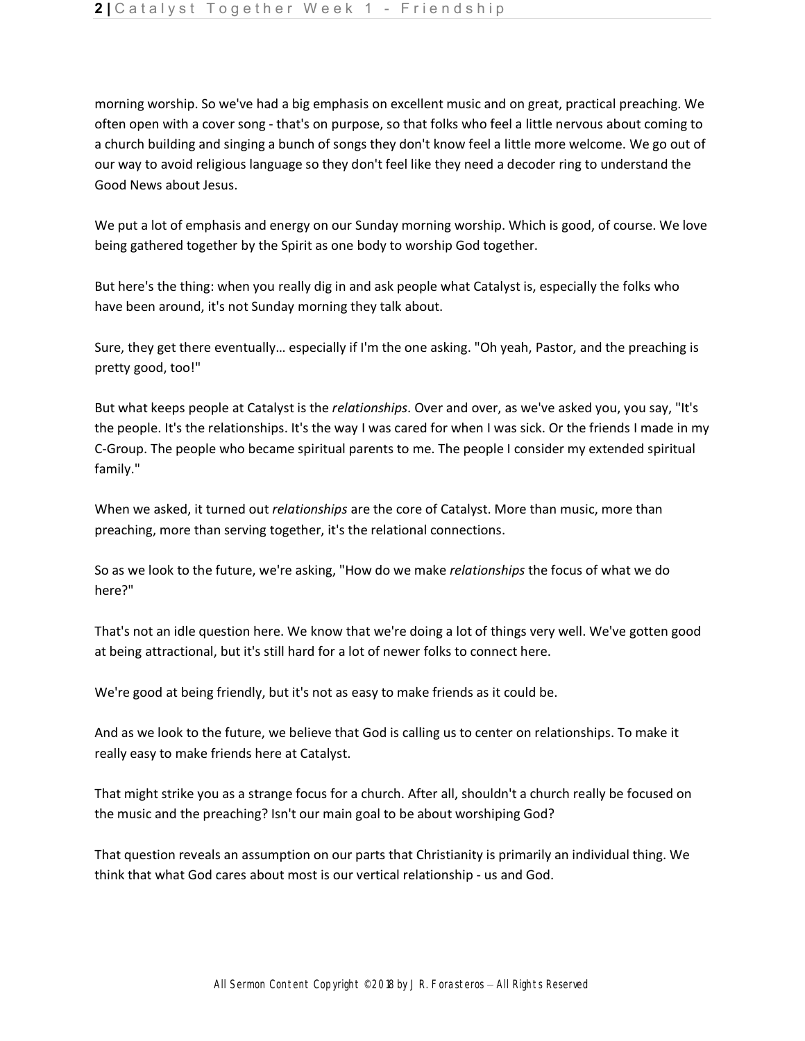morning worship. So we've had a big emphasis on excellent music and on great, practical preaching. We often open with a cover song - that's on purpose, so that folks who feel a little nervous about coming to a church building and singing a bunch of songs they don't know feel a little more welcome. We go out of our way to avoid religious language so they don't feel like they need a decoder ring to understand the Good News about Jesus.

We put a lot of emphasis and energy on our Sunday morning worship. Which is good, of course. We love being gathered together by the Spirit as one body to worship God together.

But here's the thing: when you really dig in and ask people what Catalyst is, especially the folks who have been around, it's not Sunday morning they talk about.

Sure, they get there eventually… especially if I'm the one asking. "Oh yeah, Pastor, and the preaching is pretty good, too!"

But what keeps people at Catalyst is the *relationships*. Over and over, as we've asked you, you say, "It's the people. It's the relationships. It's the way I was cared for when I was sick. Or the friends I made in my C-Group. The people who became spiritual parents to me. The people I consider my extended spiritual family."

When we asked, it turned out *relationships* are the core of Catalyst. More than music, more than preaching, more than serving together, it's the relational connections.

So as we look to the future, we're asking, "How do we make *relationships* the focus of what we do here?"

That's not an idle question here. We know that we're doing a lot of things very well. We've gotten good at being attractional, but it's still hard for a lot of newer folks to connect here.

We're good at being friendly, but it's not as easy to make friends as it could be.

And as we look to the future, we believe that God is calling us to center on relationships. To make it really easy to make friends here at Catalyst.

That might strike you as a strange focus for a church. After all, shouldn't a church really be focused on the music and the preaching? Isn't our main goal to be about worshiping God?

That question reveals an assumption on our parts that Christianity is primarily an individual thing. We think that what God cares about most is our vertical relationship - us and God.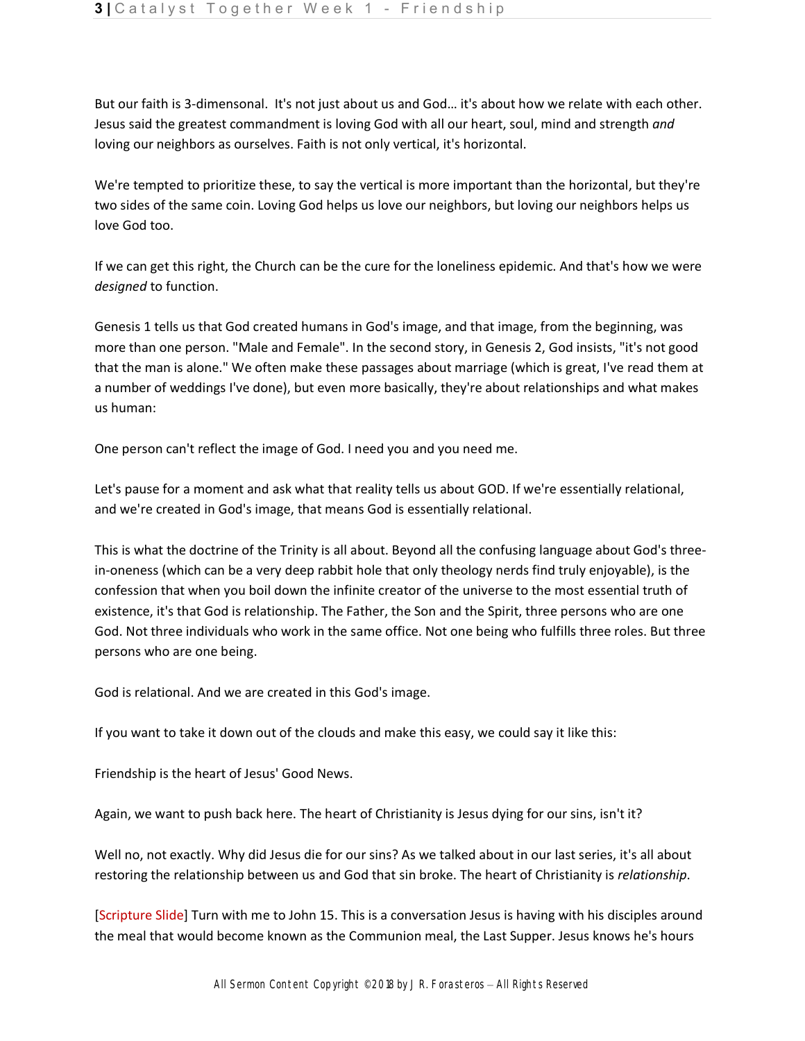But our faith is 3-dimensonal. It's not just about us and God… it's about how we relate with each other. Jesus said the greatest commandment is loving God with all our heart, soul, mind and strength *and*  loving our neighbors as ourselves. Faith is not only vertical, it's horizontal.

We're tempted to prioritize these, to say the vertical is more important than the horizontal, but they're two sides of the same coin. Loving God helps us love our neighbors, but loving our neighbors helps us love God too.

If we can get this right, the Church can be the cure for the loneliness epidemic. And that's how we were *designed* to function.

Genesis 1 tells us that God created humans in God's image, and that image, from the beginning, was more than one person. "Male and Female". In the second story, in Genesis 2, God insists, "it's not good that the man is alone." We often make these passages about marriage (which is great, I've read them at a number of weddings I've done), but even more basically, they're about relationships and what makes us human:

One person can't reflect the image of God. I need you and you need me.

Let's pause for a moment and ask what that reality tells us about GOD. If we're essentially relational, and we're created in God's image, that means God is essentially relational.

This is what the doctrine of the Trinity is all about. Beyond all the confusing language about God's threein-oneness (which can be a very deep rabbit hole that only theology nerds find truly enjoyable), is the confession that when you boil down the infinite creator of the universe to the most essential truth of existence, it's that God is relationship. The Father, the Son and the Spirit, three persons who are one God. Not three individuals who work in the same office. Not one being who fulfills three roles. But three persons who are one being.

God is relational. And we are created in this God's image.

If you want to take it down out of the clouds and make this easy, we could say it like this:

Friendship is the heart of Jesus' Good News.

Again, we want to push back here. The heart of Christianity is Jesus dying for our sins, isn't it?

Well no, not exactly. Why did Jesus die for our sins? As we talked about in our last series, it's all about restoring the relationship between us and God that sin broke. The heart of Christianity is *relationship*.

[Scripture Slide] Turn with me to John 15. This is a conversation Jesus is having with his disciples around the meal that would become known as the Communion meal, the Last Supper. Jesus knows he's hours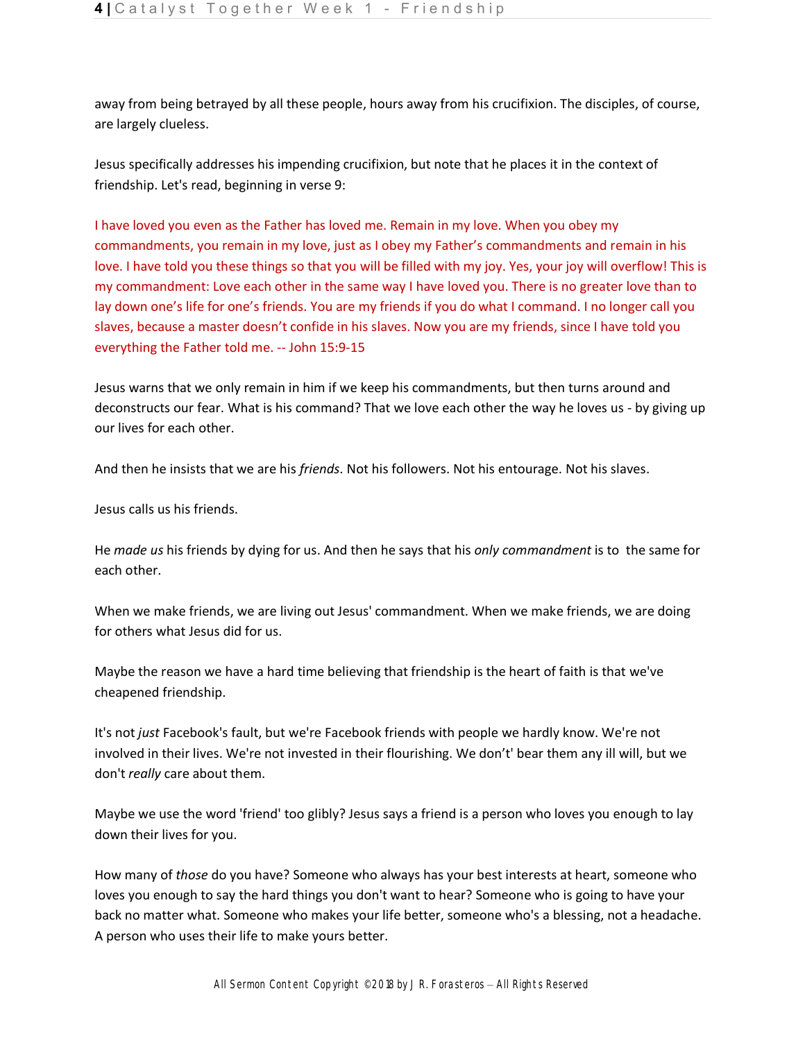away from being betrayed by all these people, hours away from his crucifixion. The disciples, of course, are largely clueless.

Jesus specifically addresses his impending crucifixion, but note that he places it in the context of friendship. Let's read, beginning in verse 9:

I have loved you even as the Father has loved me. Remain in my love. When you obey my commandments, you remain in my love, just as I obey my Father's commandments and remain in his love. I have told you these things so that you will be filled with my joy. Yes, your joy will overflow! This is my commandment: Love each other in the same way I have loved you. There is no greater love than to lay down one's life for one's friends. You are my friends if you do what I command. I no longer call you slaves, because a master doesn't confide in his slaves. Now you are my friends, since I have told you everything the Father told me. -- John 15:9-15

Jesus warns that we only remain in him if we keep his commandments, but then turns around and deconstructs our fear. What is his command? That we love each other the way he loves us - by giving up our lives for each other.

And then he insists that we are his *friends*. Not his followers. Not his entourage. Not his slaves.

Jesus calls us his friends.

He *made us* his friends by dying for us. And then he says that his *only commandment* is to the same for each other.

When we make friends, we are living out Jesus' commandment. When we make friends, we are doing for others what Jesus did for us.

Maybe the reason we have a hard time believing that friendship is the heart of faith is that we've cheapened friendship.

It's not *just* Facebook's fault, but we're Facebook friends with people we hardly know. We're not involved in their lives. We're not invested in their flourishing. We don't' bear them any ill will, but we don't *really* care about them.

Maybe we use the word 'friend' too glibly? Jesus says a friend is a person who loves you enough to lay down their lives for you.

How many of *those* do you have? Someone who always has your best interests at heart, someone who loves you enough to say the hard things you don't want to hear? Someone who is going to have your back no matter what. Someone who makes your life better, someone who's a blessing, not a headache. A person who uses their life to make yours better.